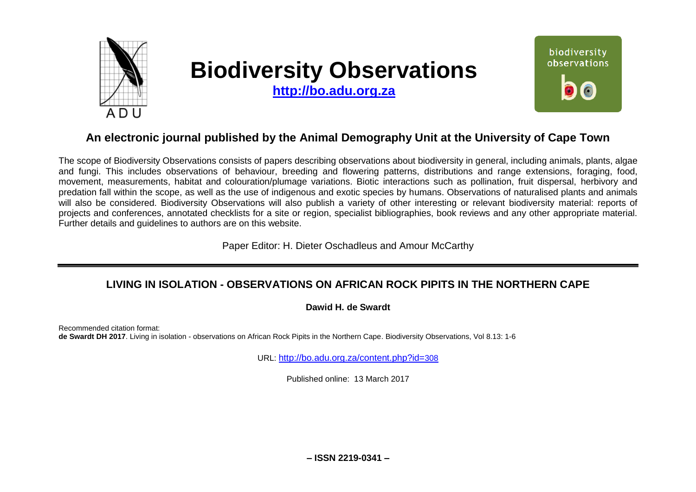

# **Biodiversity Observations**

**[http://bo.adu.org.za](http://bo.adu.org.za/)**



# **An electronic journal published by the Animal Demography Unit at the University of Cape Town**

The scope of Biodiversity Observations consists of papers describing observations about biodiversity in general, including animals, plants, algae and fungi. This includes observations of behaviour, breeding and flowering patterns, distributions and range extensions, foraging, food, movement, measurements, habitat and colouration/plumage variations. Biotic interactions such as pollination, fruit dispersal, herbivory and predation fall within the scope, as well as the use of indigenous and exotic species by humans. Observations of naturalised plants and animals will also be considered. Biodiversity Observations will also publish a variety of other interesting or relevant biodiversity material: reports of projects and conferences, annotated checklists for a site or region, specialist bibliographies, book reviews and any other appropriate material. Further details and guidelines to authors are on this website.

Paper Editor: H. Dieter Oschadleus and Amour McCarthy

# **LIVING IN ISOLATION - OBSERVATIONS ON AFRICAN ROCK PIPITS IN THE NORTHERN CAPE**

### **Dawid H. de Swardt**

Recommended citation format: **de Swardt DH 2017**. Living in isolation - observations on African Rock Pipits in the Northern Cape. Biodiversity Observations, Vol 8.13: 1-6

URL: [http://bo.adu.org.za/content.php?id=](http://bo.adu.org.za/content.php?id=308)308

Published online: 13 March 2017

**– ISSN 2219-0341 –**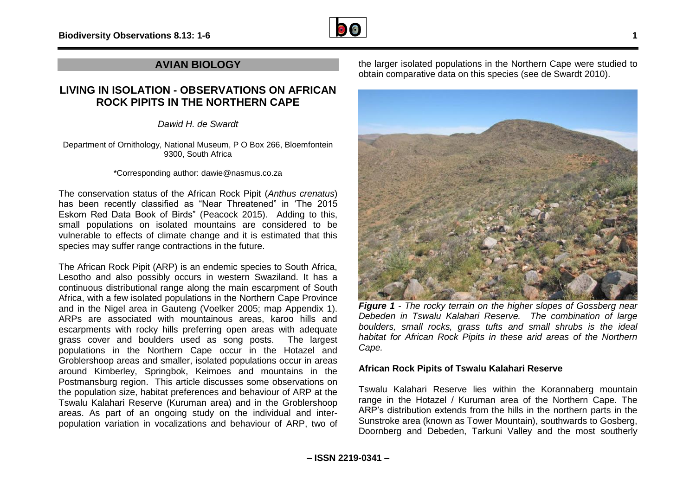

## **AVIAN BIOLOGY**

## **LIVING IN ISOLATION - OBSERVATIONS ON AFRICAN ROCK PIPITS IN THE NORTHERN CAPE**

*Dawid H. de Swardt*

Department of Ornithology, National Museum, P O Box 266, Bloemfontein 9300, South Africa

\*Corresponding author: dawie@nasmus.co.za

The conservation status of the African Rock Pipit (*Anthus crenatus*) has been recently classified as "Near Threatened" in 'The 2015 Eskom Red Data Book of Birds" (Peacock 2015). Adding to this, small populations on isolated mountains are considered to be vulnerable to effects of climate change and it is estimated that this species may suffer range contractions in the future.

The African Rock Pipit (ARP) is an endemic species to South Africa, Lesotho and also possibly occurs in western Swaziland. It has a continuous distributional range along the main escarpment of South Africa, with a few isolated populations in the Northern Cape Province and in the Nigel area in Gauteng (Voelker 2005; map Appendix 1). ARPs are associated with mountainous areas, karoo hills and escarpments with rocky hills preferring open areas with adequate grass cover and boulders used as song posts. The largest populations in the Northern Cape occur in the Hotazel and Groblershoop areas and smaller, isolated populations occur in areas around Kimberley, Springbok, Keimoes and mountains in the Postmansburg region. This article discusses some observations on the population size, habitat preferences and behaviour of ARP at the Tswalu Kalahari Reserve (Kuruman area) and in the Groblershoop areas. As part of an ongoing study on the individual and interpopulation variation in vocalizations and behaviour of ARP, two of

the larger isolated populations in the Northern Cape were studied to obtain comparative data on this species (see de Swardt 2010).



*Figure 1 - The rocky terrain on the higher slopes of Gossberg near Debeden in Tswalu Kalahari Reserve. The combination of large boulders, small rocks, grass tufts and small shrubs is the ideal habitat for African Rock Pipits in these arid areas of the Northern Cape.*

#### **African Rock Pipits of Tswalu Kalahari Reserve**

Tswalu Kalahari Reserve lies within the Korannaberg mountain range in the Hotazel / Kuruman area of the Northern Cape. The ARP's distribution extends from the hills in the northern parts in the Sunstroke area (known as Tower Mountain), southwards to Gosberg, Doornberg and Debeden, Tarkuni Valley and the most southerly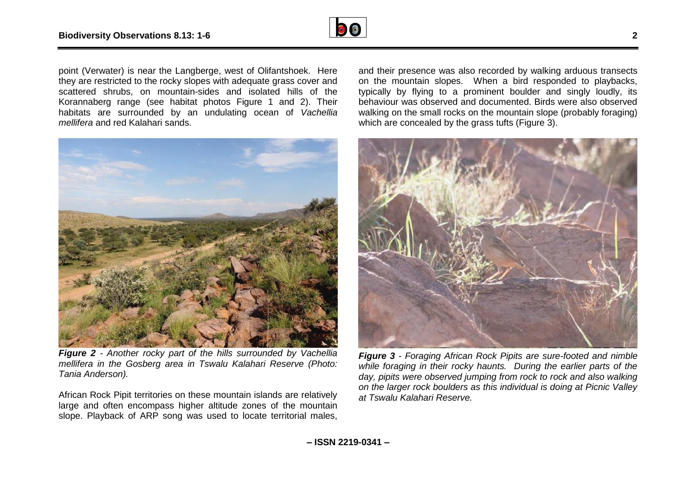

point (Verwater) is near the Langberge, west of Olifantshoek. Here they are restricted to the rocky slopes with adequate grass cover and scattered shrubs, on mountain-sides and isolated hills of the Korannaberg range (see habitat photos Figure 1 and 2). Their habitats are surrounded by an undulating ocean of *Vachellia mellifera* and red Kalahari sands.



*Figure 2 - Another rocky part of the hills surrounded by Vachellia mellifera in the Gosberg area in Tswalu Kalahari Reserve (Photo: Tania Anderson).* 

African Rock Pipit territories on these mountain islands are relatively large and often encompass higher altitude zones of the mountain slope. Playback of ARP song was used to locate territorial males,

and their presence was also recorded by walking arduous transects on the mountain slopes. When a bird responded to playbacks, typically by flying to a prominent boulder and singly loudly, its behaviour was observed and documented. Birds were also observed walking on the small rocks on the mountain slope (probably foraging) which are concealed by the grass tufts (Figure 3).



*Figure 3 - Foraging African Rock Pipits are sure-footed and nimble while foraging in their rocky haunts. During the earlier parts of the day, pipits were observed jumping from rock to rock and also walking on the larger rock boulders as this individual is doing at Picnic Valley at Tswalu Kalahari Reserve.*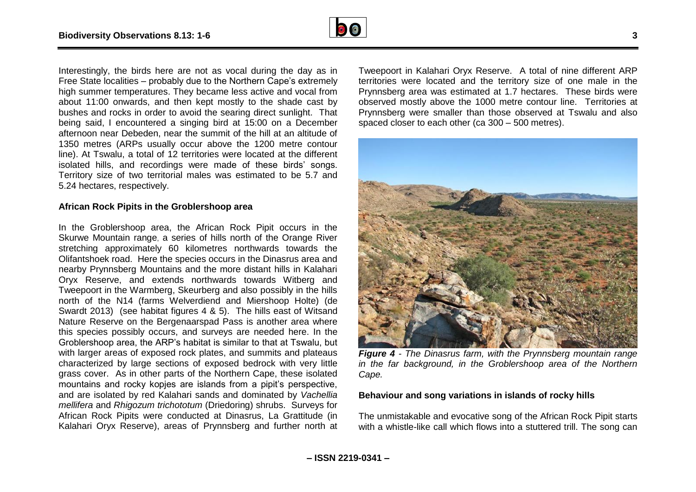

Interestingly, the birds here are not as vocal during the day as in Free State localities – probably due to the Northern Cape's extremely high summer temperatures. They became less active and vocal from about 11:00 onwards, and then kept mostly to the shade cast by bushes and rocks in order to avoid the searing direct sunlight. That being said, I encountered a singing bird at 15:00 on a December afternoon near Debeden, near the summit of the hill at an altitude of 1350 metres (ARPs usually occur above the 1200 metre contour line). At Tswalu, a total of 12 territories were located at the different isolated hills, and recordings were made of these birds' songs. Territory size of two territorial males was estimated to be 5.7 and 5.24 hectares, respectively.

#### **African Rock Pipits in the Groblershoop area**

In the Groblershoop area, the African Rock Pipit occurs in the Skurwe Mountain range, a series of hills north of the Orange River stretching approximately 60 kilometres northwards towards the Olifantshoek road. Here the species occurs in the Dinasrus area and nearby Prynnsberg Mountains and the more distant hills in Kalahari Oryx Reserve, and extends northwards towards Witberg and Tweepoort in the Warmberg, Skeurberg and also possibly in the hills north of the N14 (farms Welverdiend and Miershoop Holte) (de Swardt 2013) (see habitat figures 4 & 5). The hills east of Witsand Nature Reserve on the Bergenaarspad Pass is another area where this species possibly occurs, and surveys are needed here. In the Groblershoop area, the ARP's habitat is similar to that at Tswalu, but with larger areas of exposed rock plates, and summits and plateaus characterized by large sections of exposed bedrock with very little grass cover. As in other parts of the Northern Cape, these isolated mountains and rocky kopjes are islands from a pipit's perspective, and are isolated by red Kalahari sands and dominated by *Vachellia mellifera* and *Rhigozum trichototum* (Driedoring) shrubs. Surveys for African Rock Pipits were conducted at Dinasrus, La Grattitude (in Kalahari Oryx Reserve), areas of Prynnsberg and further north at

Tweepoort in Kalahari Oryx Reserve. A total of nine different ARP territories were located and the territory size of one male in the Prynnsberg area was estimated at 1.7 hectares. These birds were observed mostly above the 1000 metre contour line. Territories at Prynnsberg were smaller than those observed at Tswalu and also spaced closer to each other (ca 300 – 500 metres).



*Figure 4 - The Dinasrus farm, with the Prynnsberg mountain range in the far background, in the Groblershoop area of the Northern Cape.*

#### **Behaviour and song variations in islands of rocky hills**

The unmistakable and evocative song of the African Rock Pipit starts with a whistle-like call which flows into a stuttered trill. The song can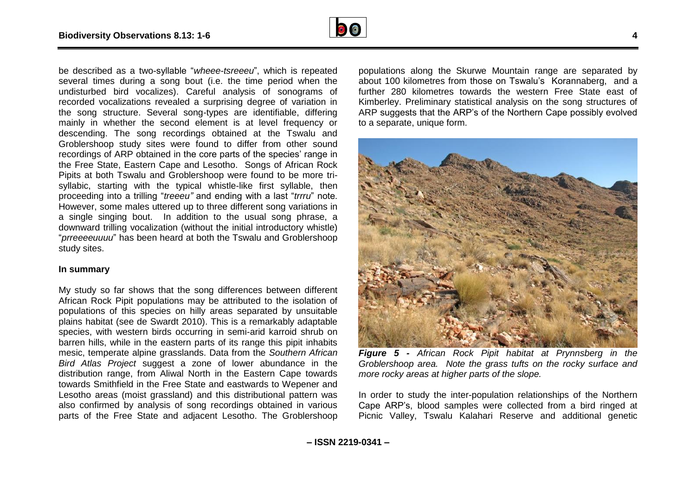

be described as a two-syllable "*wheee-tsreeeu*", which is repeated several times during a song bout (i.e. the time period when the undisturbed bird vocalizes). Careful analysis of sonograms of recorded vocalizations revealed a surprising degree of variation in the song structure. Several song-types are identifiable, differing mainly in whether the second element is at level frequency or descending. The song recordings obtained at the Tswalu and Groblershoop study sites were found to differ from other sound recordings of ARP obtained in the core parts of the species' range in the Free State, Eastern Cape and Lesotho. Songs of African Rock Pipits at both Tswalu and Groblershoop were found to be more trisyllabic, starting with the typical whistle-like first syllable, then proceeding into a trilling "*treeeu"* and ending with a last "*trrru*" note. However, some males uttered up to three different song variations in a single singing bout. In addition to the usual song phrase, a downward trilling vocalization (without the initial introductory whistle) "*prreeeeuuuu*" has been heard at both the Tswalu and Groblershoop study sites.

#### **In summary**

My study so far shows that the song differences between different African Rock Pipit populations may be attributed to the isolation of populations of this species on hilly areas separated by unsuitable plains habitat (see de Swardt 2010). This is a remarkably adaptable species, with western birds occurring in semi-arid karroid shrub on barren hills, while in the eastern parts of its range this pipit inhabits mesic, temperate alpine grasslands. Data from the *Southern African Bird Atlas Project* suggest a zone of lower abundance in the distribution range, from Aliwal North in the Eastern Cape towards towards Smithfield in the Free State and eastwards to Wepener and Lesotho areas (moist grassland) and this distributional pattern was also confirmed by analysis of song recordings obtained in various parts of the Free State and adjacent Lesotho. The Groblershoop

populations along the Skurwe Mountain range are separated by about 100 kilometres from those on Tswalu's Korannaberg, and a further 280 kilometres towards the western Free State east of Kimberley. Preliminary statistical analysis on the song structures of ARP suggests that the ARP's of the Northern Cape possibly evolved to a separate, unique form.



*Figure 5 - African Rock Pipit habitat at Prynnsberg in the Groblershoop area. Note the grass tufts on the rocky surface and more rocky areas at higher parts of the slope.*

In order to study the inter-population relationships of the Northern Cape ARP's, blood samples were collected from a bird ringed at Picnic Valley, Tswalu Kalahari Reserve and additional genetic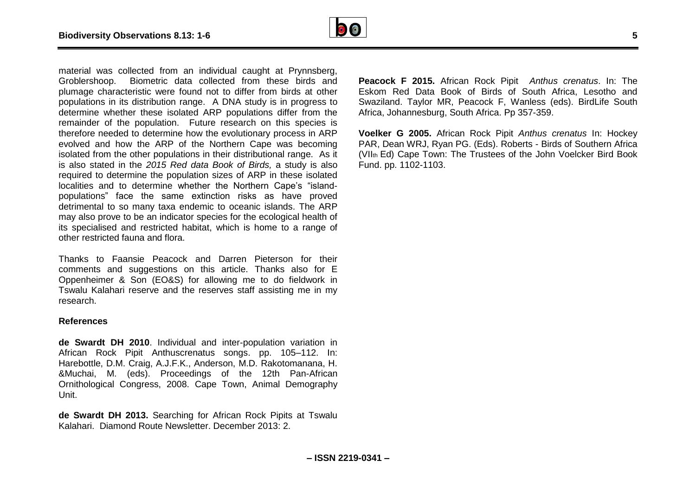

material was collected from an individual caught at Prynnsberg, Groblershoop. Biometric data collected from these birds and plumage characteristic were found not to differ from birds at other populations in its distribution range. A DNA study is in progress to determine whether these isolated ARP populations differ from the remainder of the population. Future research on this species is therefore needed to determine how the evolutionary process in ARP evolved and how the ARP of the Northern Cape was becoming isolated from the other populations in their distributional range. As it is also stated in the *2015 Red data Book of Birds,* a study is also required to determine the population sizes of ARP in these isolated localities and to determine whether the Northern Cape's "islandpopulations" face the same extinction risks as have proved detrimental to so many taxa endemic to oceanic islands. The ARP may also prove to be an indicator species for the ecological health of its specialised and restricted habitat, which is home to a range of other restricted fauna and flora.

Thanks to Faansie Peacock and Darren Pieterson for their comments and suggestions on this article. Thanks also for E Oppenheimer & Son (EO&S) for allowing me to do fieldwork in Tswalu Kalahari reserve and the reserves staff assisting me in my research.

#### **References**

**de Swardt DH 2010**. Individual and inter-population variation in African Rock Pipit Anthuscrenatus songs. pp. 105–112. In: Harebottle, D.M. Craig, A.J.F.K., Anderson, M.D. Rakotomanana, H. &Muchai, M. (eds). Proceedings of the 12th Pan-African Ornithological Congress, 2008. Cape Town, Animal Demography Unit.

**de Swardt DH 2013.** Searching for African Rock Pipits at Tswalu Kalahari. Diamond Route Newsletter. December 2013: 2.

**Peacock F 2015.** African Rock Pipit *Anthus crenatus*. In: The Eskom Red Data Book of Birds of South Africa, Lesotho and Swaziland. Taylor MR, Peacock F, Wanless (eds). BirdLife South Africa, Johannesburg, South Africa. Pp 357-359.

**Voelker G 2005.** African Rock Pipit *Anthus crenatus* In: Hockey PAR, Dean WRJ, Ryan PG. (Eds). Roberts - Birds of Southern Africa (VIIth Ed) Cape Town: The Trustees of the John Voelcker Bird Book Fund. pp. 1102-1103.